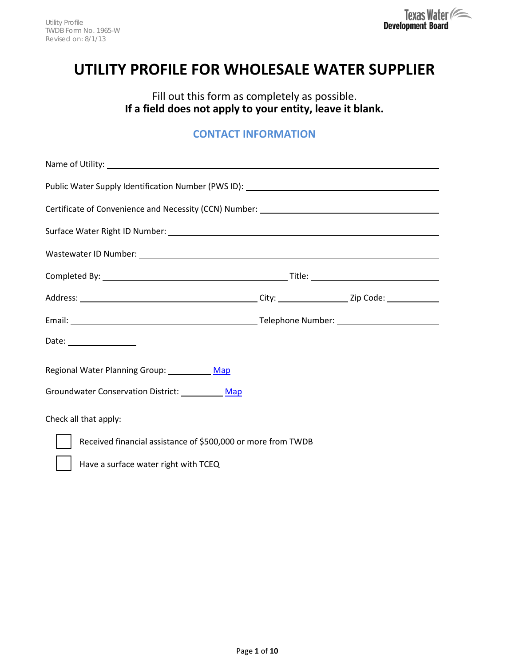# **UTILITY PROFILE FOR WHOLESALE WATER SUPPLIER**

Fill out this form as completely as possible. **If a field does not apply to your entity, leave it blank.**

# **CONTACT INFORMATION**

| Public Water Supply Identification Number (PWS ID): _____________________________ |  |  |  |  |
|-----------------------------------------------------------------------------------|--|--|--|--|
| Certificate of Convenience and Necessity (CCN) Number: __________________________ |  |  |  |  |
|                                                                                   |  |  |  |  |
|                                                                                   |  |  |  |  |
|                                                                                   |  |  |  |  |
|                                                                                   |  |  |  |  |
|                                                                                   |  |  |  |  |
| Date: _________________                                                           |  |  |  |  |
| Regional Water Planning Group: Map                                                |  |  |  |  |
| Groundwater Conservation District: Map                                            |  |  |  |  |
| Check all that apply:                                                             |  |  |  |  |
| Received financial assistance of \$500,000 or more from TWDB                      |  |  |  |  |
| Have a surface water right with TCEQ                                              |  |  |  |  |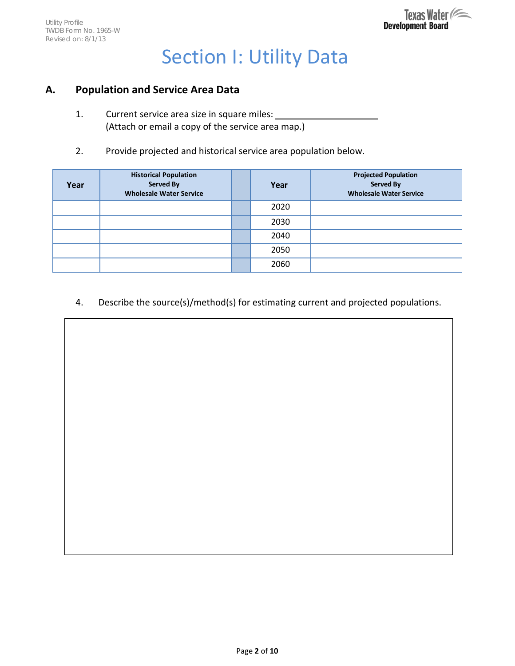# Section I: Utility Data

## **A. Population and Service Area Data**

- 1. Current service area size in square miles: (Attach or email a copy of the service area map.)
- 2. Provide projected and historical service area population below.

| Year | <b>Historical Population</b><br>Served By<br><b>Wholesale Water Service</b> | Year | <b>Projected Population</b><br><b>Served By</b><br><b>Wholesale Water Service</b> |
|------|-----------------------------------------------------------------------------|------|-----------------------------------------------------------------------------------|
|      |                                                                             | 2020 |                                                                                   |
|      |                                                                             | 2030 |                                                                                   |
|      |                                                                             | 2040 |                                                                                   |
|      |                                                                             | 2050 |                                                                                   |
|      |                                                                             | 2060 |                                                                                   |

4. Describe the source(s)/method(s) for estimating current and projected populations.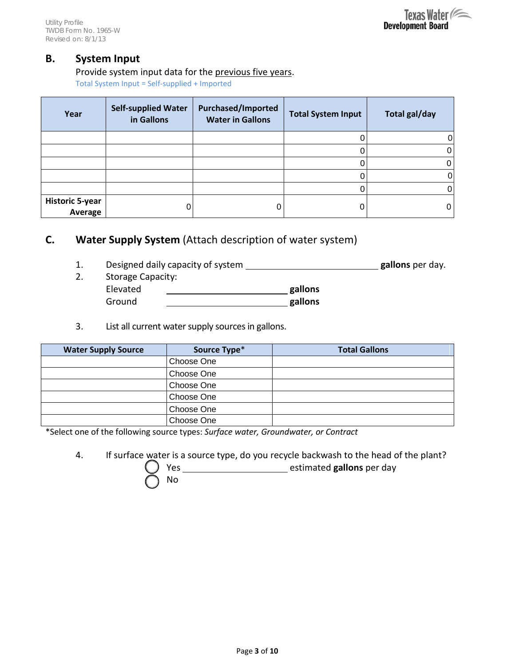#### **B. System Input**

#### Provide system input data for the previous five years.

Total System Input = Self-supplied + Imported

| Year                              | <b>Self-supplied Water</b><br>in Gallons | <b>Purchased/Imported</b><br><b>Water in Gallons</b> | <b>Total System Input</b> | <b>Total gal/day</b> |
|-----------------------------------|------------------------------------------|------------------------------------------------------|---------------------------|----------------------|
|                                   |                                          |                                                      |                           |                      |
|                                   |                                          |                                                      |                           |                      |
|                                   |                                          |                                                      |                           |                      |
|                                   |                                          |                                                      |                           |                      |
|                                   |                                          |                                                      |                           |                      |
| <b>Historic 5-year</b><br>Average |                                          |                                                      |                           |                      |

# **C. Water Supply System** (Attach description of water system)

- 1. Designed daily capacity of system **gallons** per day.
- 2. Storage Capacity: Elevated **gallons** Ground <u>\_\_\_\_\_\_\_\_\_\_\_\_\_\_\_\_\_\_\_\_\_\_\_\_\_\_\_\_\_\_\_\_\_\_</u>gallons
- 3. List all current water supply sources in gallons.

| <b>Water Supply Source</b> | Source Type* | <b>Total Gallons</b> |
|----------------------------|--------------|----------------------|
|                            | Choose One   |                      |
|                            | Choose One   |                      |
|                            | Choose One   |                      |
|                            | Choose One   |                      |
|                            | Choose One   |                      |
|                            | Choose One   |                      |

\*Select one of the following source types: *Surface water, Groundwater, or Contract*

4. If surface water is a source type, do you recycle backwash to the head of the plant?

Yes estimated **gallons** per day

No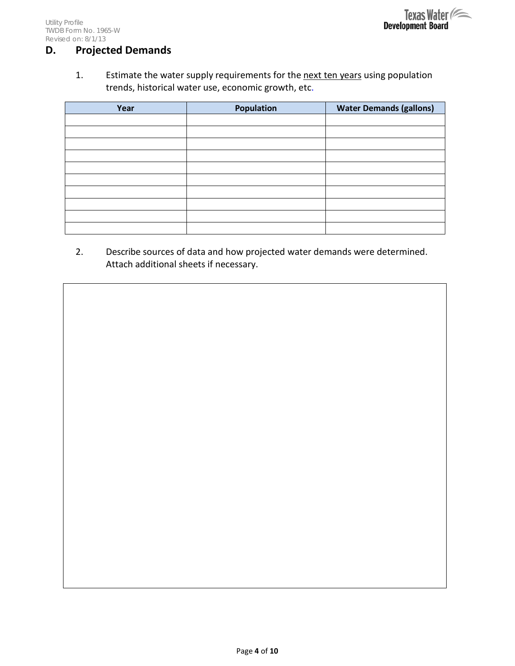# **D. Projected Demands**

1. Estimate the water supply requirements for the next ten years using population trends, historical water use, economic growth, etc.

| Year | Population | <b>Water Demands (gallons)</b> |
|------|------------|--------------------------------|
|      |            |                                |
|      |            |                                |
|      |            |                                |
|      |            |                                |
|      |            |                                |
|      |            |                                |
|      |            |                                |
|      |            |                                |
|      |            |                                |
|      |            |                                |

2. Describe sources of data and how projected water demands were determined. Attach additional sheets if necessary.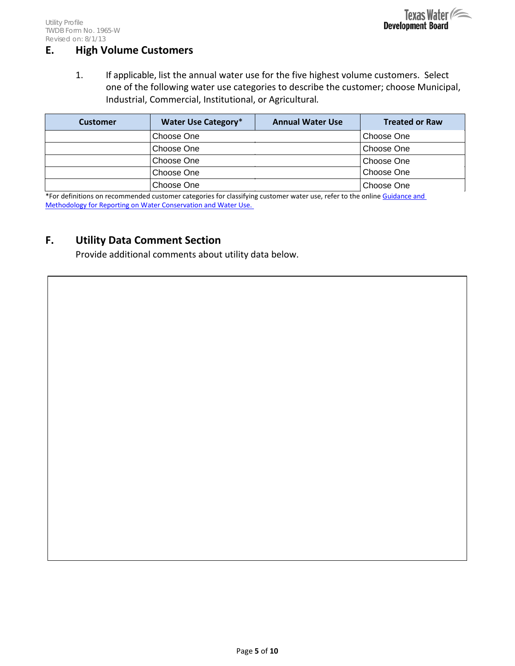# **E. High Volume Customers**

1. If applicable, list the annual water use for the five highest volume customers. Select one of the following water use categories to describe the customer; choose Municipal, Industrial, Commercial, Institutional, or Agricultural*.*

| <b>Customer</b> | Water Use Category* | <b>Annual Water Use</b> | <b>Treated or Raw</b> |
|-----------------|---------------------|-------------------------|-----------------------|
|                 | Choose One          |                         | Choose One            |
|                 | Choose One          |                         | Choose One            |
|                 | Choose One          |                         | Choose One            |
|                 | Choose One          |                         | Choose One            |
|                 | Choose One          |                         | Choose One            |

\*For definitions on recommended customer categories for classifying customer water use, refer to the online Guidance and [Methodology for Reporting on Water Conservation and Water Use.](http://www.twdb.texas.gov/conservation/doc/SB181Guidance.pdf) 

## **F. Utility Data Comment Section**

Provide additional comments about utility data below.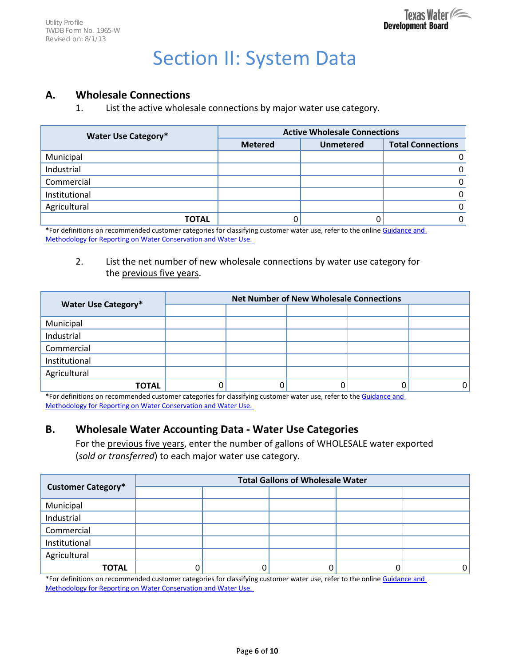# Section II: System Data

#### **A. Wholesale Connections**

1. List the active wholesale connections by major water use category.

| <b>Water Use Category*</b> | <b>Active Wholesale Connections</b> |                  |                          |  |  |
|----------------------------|-------------------------------------|------------------|--------------------------|--|--|
|                            | <b>Metered</b>                      | <b>Unmetered</b> | <b>Total Connections</b> |  |  |
| Municipal                  |                                     |                  |                          |  |  |
| Industrial                 |                                     |                  |                          |  |  |
| Commercial                 |                                     |                  |                          |  |  |
| Institutional              |                                     |                  |                          |  |  |
| Agricultural               |                                     |                  |                          |  |  |
| <b>TOTAL</b>               |                                     |                  |                          |  |  |

\*For definitions on recommended customer categories for classifying customer water use, refer to the online Guidance and [Methodology for Reporting on Water Conservation and Water Use.](http://www.twdb.texas.gov/conservation/doc/SB181Guidance.pdf) 

#### 2. List the net number of new wholesale connections by water use category for the previous five years.

|                            | <b>Net Number of New Wholesale Connections</b> |  |  |  |  |  |
|----------------------------|------------------------------------------------|--|--|--|--|--|
| <b>Water Use Category*</b> |                                                |  |  |  |  |  |
| Municipal                  |                                                |  |  |  |  |  |
| Industrial                 |                                                |  |  |  |  |  |
| Commercial                 |                                                |  |  |  |  |  |
| Institutional              |                                                |  |  |  |  |  |
| Agricultural               |                                                |  |  |  |  |  |
| <b>TOTAL</b>               |                                                |  |  |  |  |  |

\*For definitions on recommended customer categories for classifying customer water use, refer to the Guidance and [Methodology for Reporting on Water Conservation and Water Use.](http://www.twdb.texas.gov/conservation/doc/SB181Guidance.pdf) 

## **B. Wholesale Water Accounting Data - Water Use Categories**

For the previous five years, enter the number of gallons of WHOLESALE water exported (*sold or transferred*) to each major water use category.

|                           | <b>Total Gallons of Wholesale Water</b> |  |  |  |   |  |  |
|---------------------------|-----------------------------------------|--|--|--|---|--|--|
| <b>Customer Category*</b> |                                         |  |  |  |   |  |  |
| Municipal                 |                                         |  |  |  |   |  |  |
| Industrial                |                                         |  |  |  |   |  |  |
| Commercial                |                                         |  |  |  |   |  |  |
| Institutional             |                                         |  |  |  |   |  |  |
| Agricultural              |                                         |  |  |  |   |  |  |
| <b>TOTAL</b>              |                                         |  |  |  | 0 |  |  |

\*For definitions on recommended customer categories for classifying customer water use, refer to the online Guidance and [Methodology for Reporting on Water Conservation and Water Use.](http://www.twdb.texas.gov/conservation/doc/SB181Guidance.pdf)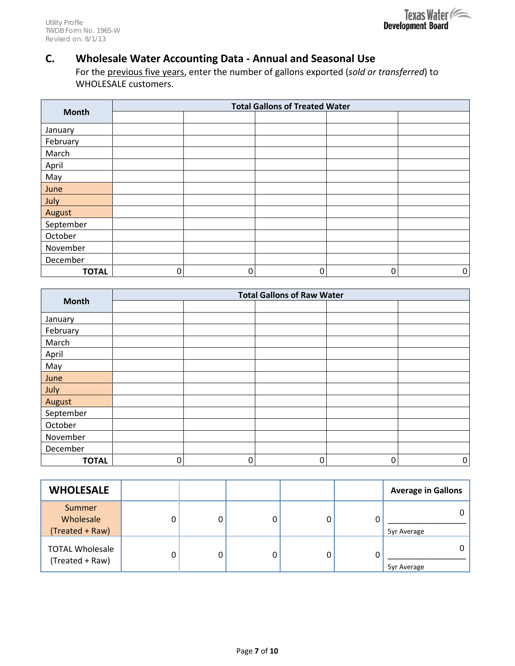

# **C. Wholesale Water Accounting Data - Annual and Seasonal Use**

For the previous five years, enter the number of gallons exported (*sold or transferred*) to WHOLESALE customers.

|              | <b>Total Gallons of Treated Water</b> |   |   |   |             |  |
|--------------|---------------------------------------|---|---|---|-------------|--|
| <b>Month</b> |                                       |   |   |   |             |  |
| January      |                                       |   |   |   |             |  |
| February     |                                       |   |   |   |             |  |
| March        |                                       |   |   |   |             |  |
| April        |                                       |   |   |   |             |  |
| May          |                                       |   |   |   |             |  |
| June         |                                       |   |   |   |             |  |
| July         |                                       |   |   |   |             |  |
| August       |                                       |   |   |   |             |  |
| September    |                                       |   |   |   |             |  |
| October      |                                       |   |   |   |             |  |
| November     |                                       |   |   |   |             |  |
| December     |                                       |   |   |   |             |  |
| <b>TOTAL</b> | 0                                     | 0 | 0 | 0 | $\mathbf 0$ |  |

|               | <b>Total Gallons of Raw Water</b> |   |   |   |           |  |
|---------------|-----------------------------------|---|---|---|-----------|--|
| <b>Month</b>  |                                   |   |   |   |           |  |
| January       |                                   |   |   |   |           |  |
| February      |                                   |   |   |   |           |  |
| March         |                                   |   |   |   |           |  |
| April         |                                   |   |   |   |           |  |
| May           |                                   |   |   |   |           |  |
| June          |                                   |   |   |   |           |  |
| July          |                                   |   |   |   |           |  |
| <b>August</b> |                                   |   |   |   |           |  |
| September     |                                   |   |   |   |           |  |
| October       |                                   |   |   |   |           |  |
| November      |                                   |   |   |   |           |  |
| December      |                                   |   |   |   |           |  |
| <b>TOTAL</b>  | $\mathbf 0$                       | 0 | 0 | 0 | $\pmb{0}$ |  |

| <b>WHOLESALE</b>                          |  |   | <b>Average in Gallons</b> |
|-------------------------------------------|--|---|---------------------------|
| Summer<br>Wholesale<br>(Treated + Raw)    |  | 0 | 0<br>5yr Average          |
| <b>TOTAL Wholesale</b><br>(Treated + Raw) |  | 0 | 0<br>5yr Average          |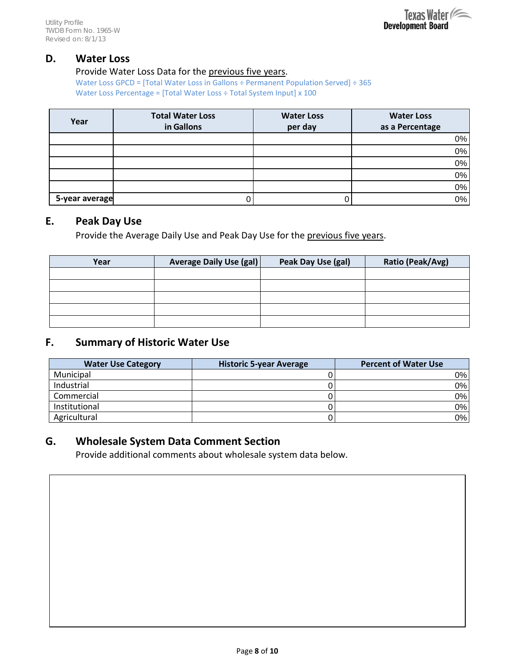#### **D. Water Loss**

#### Provide Water Loss Data for the previous five years.

Water Loss GPCD = [Total Water Loss in Gallons ÷ Permanent Population Served] ÷ 365 Water Loss Percentage = [Total Water Loss ÷ Total System Input] x 100

| Year           | <b>Total Water Loss</b> | <b>Water Loss</b> | <b>Water Loss</b> |
|----------------|-------------------------|-------------------|-------------------|
|                | in Gallons              | per day           | as a Percentage   |
|                |                         |                   | 0%                |
|                |                         |                   | 0%                |
|                |                         |                   | 0%                |
|                |                         |                   | 0%                |
|                |                         |                   | 0%                |
| 5-year average |                         |                   | 0%                |

#### **E. Peak Day Use**

Provide the Average Daily Use and Peak Day Use for the previous five years.

| Year | Average Daily Use (gal) | Peak Day Use (gal) | Ratio (Peak/Avg) |
|------|-------------------------|--------------------|------------------|
|      |                         |                    |                  |
|      |                         |                    |                  |
|      |                         |                    |                  |
|      |                         |                    |                  |
|      |                         |                    |                  |

## **F. Summary of Historic Water Use**

| <b>Water Use Category</b> | <b>Historic 5-year Average</b> | <b>Percent of Water Use</b> |
|---------------------------|--------------------------------|-----------------------------|
| Municipal                 |                                | $0\%$                       |
| Industrial                |                                | $0\%$                       |
| Commercial                |                                | $0\%$                       |
| Institutional             |                                | 0%                          |
| Agricultural              |                                | $0\%$                       |

## **G. Wholesale System Data Comment Section**

Provide additional comments about wholesale system data below.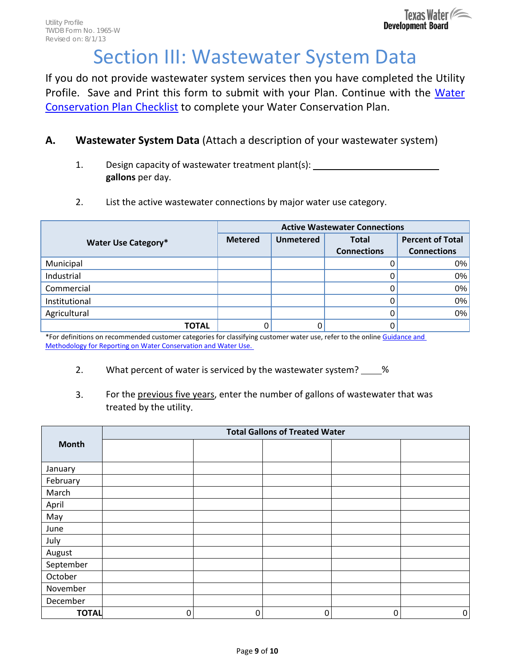# Section III: Wastewater System Data

If you do not provide wastewater system services then you have completed the Utility Profile. Save and Print this form to submit with your Plan. Continue with the [Water](http://www.twdb.texas.gov/conservation/municipal/plans/doc/WCPChecklist.pdf)  [Conservation Plan Checklist](http://www.twdb.texas.gov/conservation/municipal/plans/doc/WCPChecklist.pdf) to complete your Water Conservation Plan.

## **A. Wastewater System Data** (Attach a description of your wastewater system)

- 1. Design capacity of wastewater treatment plant(s): **gallons** per day.
- 2. List the active wastewater connections by major water use category.

|                            | <b>Active Wastewater Connections</b> |                  |                    |                         |
|----------------------------|--------------------------------------|------------------|--------------------|-------------------------|
| <b>Water Use Category*</b> | <b>Metered</b>                       | <b>Unmetered</b> | <b>Total</b>       | <b>Percent of Total</b> |
|                            |                                      |                  | <b>Connections</b> | <b>Connections</b>      |
| Municipal                  |                                      |                  |                    | $0\%$                   |
| Industrial                 |                                      |                  |                    | 0%                      |
| Commercial                 |                                      |                  |                    | 0%                      |
| Institutional              |                                      |                  |                    | 0%                      |
| Agricultural               |                                      |                  |                    | 0%                      |
| ΤΟΤΑL                      |                                      |                  |                    |                         |

\*For definitions on recommended customer categories for classifying customer water use, refer to the online Guidance and [Methodology for Reporting on Water Conservation and Water Use.](http://www.twdb.texas.gov/conservation/doc/SB181Guidance.pdf) 

#### 2. What percent of water is serviced by the wastewater system? 18

3. For the previous five years, enter the number of gallons of wastewater that was treated by the utility.

|              | <b>Total Gallons of Treated Water</b> |          |          |   |   |
|--------------|---------------------------------------|----------|----------|---|---|
| <b>Month</b> |                                       |          |          |   |   |
|              |                                       |          |          |   |   |
| January      |                                       |          |          |   |   |
| February     |                                       |          |          |   |   |
| March        |                                       |          |          |   |   |
| April        |                                       |          |          |   |   |
| May          |                                       |          |          |   |   |
| June         |                                       |          |          |   |   |
| July         |                                       |          |          |   |   |
| August       |                                       |          |          |   |   |
| September    |                                       |          |          |   |   |
| October      |                                       |          |          |   |   |
| November     |                                       |          |          |   |   |
| December     |                                       |          |          |   |   |
| <b>TOTAL</b> | $\Omega$                              | $\Omega$ | $\Omega$ | 0 | 0 |